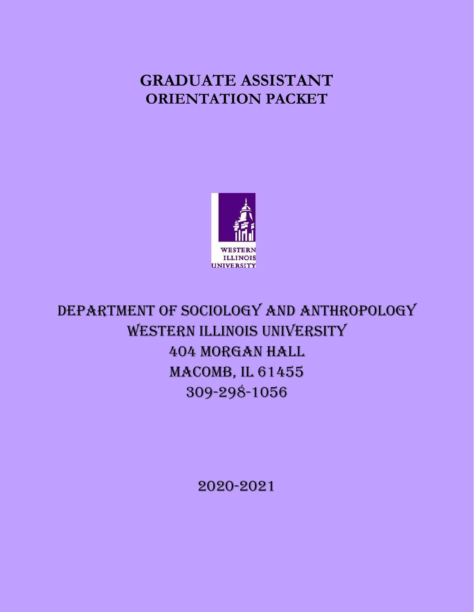# **GRADUATE ASSISTANT ORIENTATION PACKET**



DEPARTMENT OF SOCIOLOGY AND ANTHROPOLOGY WESTERN ILLINOIS UNIVERSITY 404 Morgan Hall MACOMB, IL 61455 309-298-1056

2020-2021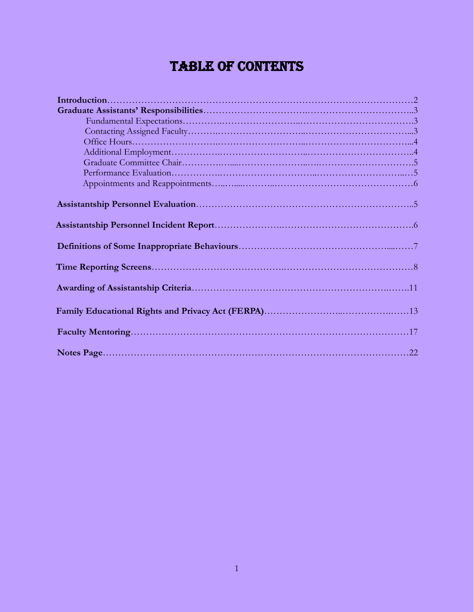# TABLE OF CONTENTS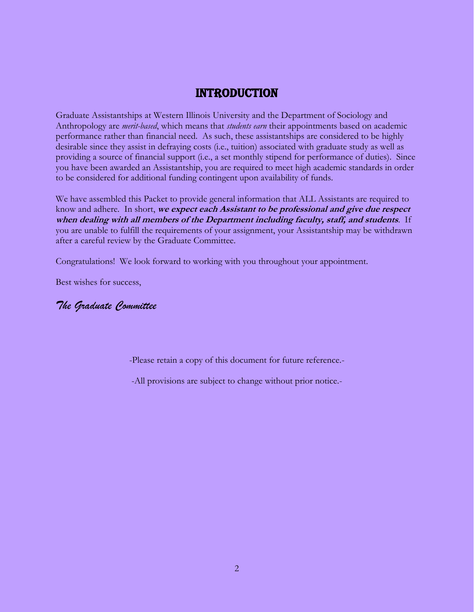## Introduction

Graduate Assistantships at Western Illinois University and the Department of Sociology and Anthropology are *merit-based*, which means that *students earn* their appointments based on academic performance rather than financial need. As such, these assistantships are considered to be highly desirable since they assist in defraying costs (i.e., tuition) associated with graduate study as well as providing a source of financial support (i.e., a set monthly stipend for performance of duties). Since you have been awarded an Assistantship, you are required to meet high academic standards in order to be considered for additional funding contingent upon availability of funds.

We have assembled this Packet to provide general information that ALL Assistants are required to know and adhere. In short, **we expect each Assistant to be professional and give due respect when dealing with all members of the Department including faculty, staff, and students**. If you are unable to fulfill the requirements of your assignment, your Assistantship may be withdrawn after a careful review by the Graduate Committee.

Congratulations! We look forward to working with you throughout your appointment.

Best wishes for success,

## *The Graduate Committee*

-Please retain a copy of this document for future reference.-

-All provisions are subject to change without prior notice.-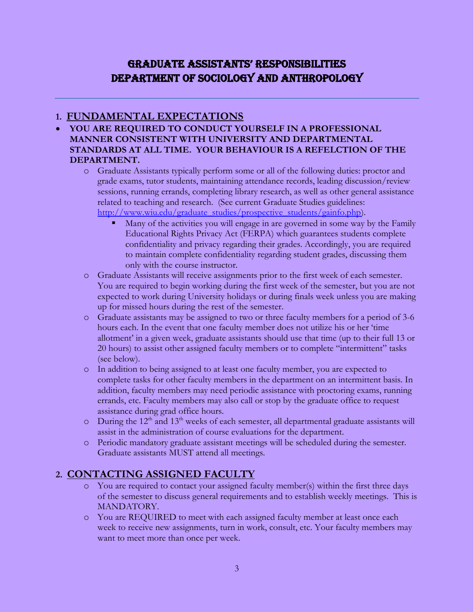## GRADUATE ASSISTANTS' RESPONSIBILITIES DEPARTMENT OF SOCIOLOGY AND ANTHROPOLOGY

## **1. FUNDAMENTAL EXPECTATIONS**

- **YOU ARE REQUIRED TO CONDUCT YOURSELF IN A PROFESSIONAL MANNER CONSISTENT WITH UNIVERSITY AND DEPARTMENTAL STANDARDS AT ALL TIME. YOUR BEHAVIOUR IS A REFELCTION OF THE DEPARTMENT.**
	- o Graduate Assistants typically perform some or all of the following duties: proctor and grade exams, tutor students, maintaining attendance records, leading discussion/review sessions, running errands, completing library research, as well as other general assistance related to teaching and research. (See current Graduate Studies guidelines: [http://www.wiu.edu/graduate\\_studies/prospective\\_students/gainfo.php\)](http://www.wiu.edu/graduate_studies/prospective_students/gainfo.php).
		- Many of the activities you will engage in are governed in some way by the Family Educational Rights Privacy Act (FERPA) which guarantees students complete confidentiality and privacy regarding their grades. Accordingly, you are required to maintain complete confidentiality regarding student grades, discussing them only with the course instructor.
	- o Graduate Assistants will receive assignments prior to the first week of each semester. You are required to begin working during the first week of the semester, but you are not expected to work during University holidays or during finals week unless you are making up for missed hours during the rest of the semester.
	- o Graduate assistants may be assigned to two or three faculty members for a period of 3-6 hours each. In the event that one faculty member does not utilize his or her 'time allotment' in a given week, graduate assistants should use that time (up to their full 13 or 20 hours) to assist other assigned faculty members or to complete "intermittent" tasks (see below).
	- o In addition to being assigned to at least one faculty member, you are expected to complete tasks for other faculty members in the department on an intermittent basis. In addition, faculty members may need periodic assistance with proctoring exams, running errands, etc. Faculty members may also call or stop by the graduate office to request assistance during grad office hours.
	- $\circ$  During the 12<sup>th</sup> and 13<sup>th</sup> weeks of each semester, all departmental graduate assistants will assist in the administration of course evaluations for the department.
	- o Periodic mandatory graduate assistant meetings will be scheduled during the semester. Graduate assistants MUST attend all meetings.

## **2. CONTACTING ASSIGNED FACULTY**

- o You are required to contact your assigned faculty member(s) within the first three days of the semester to discuss general requirements and to establish weekly meetings. This is MANDATORY.
- o You are REQUIRED to meet with each assigned faculty member at least once each week to receive new assignments, turn in work, consult, etc. Your faculty members may want to meet more than once per week.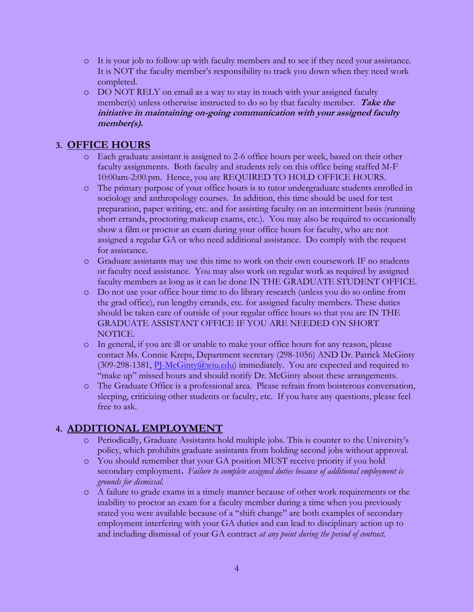- o It is your job to follow up with faculty members and to see if they need your assistance. It is NOT the faculty member's responsibility to track you down when they need work completed.
- o DO NOT RELY on email as a way to stay in touch with your assigned faculty member(s) unless otherwise instructed to do so by that faculty member. **Take the initiative in maintaining on-going communication with your assigned faculty member(s).**

## **3. OFFICE HOURS**

- o Each graduate assistant is assigned to 2-6 office hours per week, based on their other faculty assignments. Both faculty and students rely on this office being staffed M-F 10:00am-2:00.pm. Hence, you are REQUIRED TO HOLD OFFICE HOURS.
- o The primary purpose of your office hours is to tutor undergraduate students enrolled in sociology and anthropology courses. In addition, this time should be used for test preparation, paper writing, etc. and for assisting faculty on an intermittent basis (running short errands, proctoring makeup exams, etc.). You may also be required to occasionally show a film or proctor an exam during your office hours for faculty, who are not assigned a regular GA or who need additional assistance. Do comply with the request for assistance.
- o Graduate assistants may use this time to work on their own coursework IF no students or faculty need assistance. You may also work on regular work as required by assigned faculty members as long as it can be done IN THE GRADUATE STUDENT OFFICE.
- o Do not use your office hour time to do library research (unless you do so online from the grad office), run lengthy errands, etc. for assigned faculty members. These duties should be taken care of outside of your regular office hours so that you are IN THE GRADUATE ASSISTANT OFFICE IF YOU ARE NEEDED ON SHORT NOTICE.
- o In general, if you are ill or unable to make your office hours for any reason, please contact Ms. Connie Kreps, Department secretary (298-1056) AND Dr. Patrick McGinty (309-298-1381,  $PI-McGinty@wiu.edu$ ) immediately. You are expected and required to "make up" missed hours and should notify Dr. McGinty about these arrangements.
- o The Graduate Office is a professional area. Please refrain from boisterous conversation, sleeping, criticizing other students or faculty, etc. If you have any questions, please feel free to ask.

## **4. ADDITIONAL EMPLOYMENT**

- o Periodically, Graduate Assistants hold multiple jobs. This is counter to the University's policy, which prohibits graduate assistants from holding second jobs without approval.
- o You should remember that your GA position MUST receive priority if you hold secondary employment**.** *Failure to complete assigned duties because of additional employment is grounds for dismissal.*
- o A failure to grade exams in a timely manner because of other work requirements or the inability to proctor an exam for a faculty member during a time when you previously stated you were available because of a "shift change" are both examples of secondary employment interfering with your GA duties and can lead to disciplinary action up to and including dismissal of your GA contract *at any point during the period of contract.*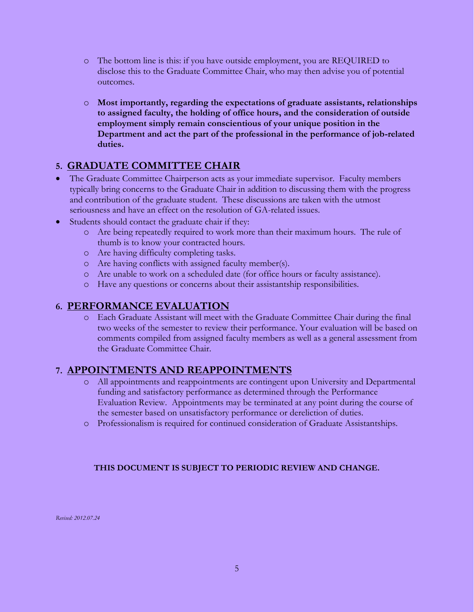- o The bottom line is this: if you have outside employment, you are REQUIRED to disclose this to the Graduate Committee Chair, who may then advise you of potential outcomes.
- o **Most importantly, regarding the expectations of graduate assistants, relationships to assigned faculty, the holding of office hours, and the consideration of outside employment simply remain conscientious of your unique position in the Department and act the part of the professional in the performance of job-related duties.**

## **5. GRADUATE COMMITTEE CHAIR**

- The Graduate Committee Chairperson acts as your immediate supervisor. Faculty members typically bring concerns to the Graduate Chair in addition to discussing them with the progress and contribution of the graduate student. These discussions are taken with the utmost seriousness and have an effect on the resolution of GA-related issues.
- Students should contact the graduate chair if they:
	- o Are being repeatedly required to work more than their maximum hours. The rule of thumb is to know your contracted hours.
	- o Are having difficulty completing tasks.
	- o Are having conflicts with assigned faculty member(s).
	- o Are unable to work on a scheduled date (for office hours or faculty assistance).
	- o Have any questions or concerns about their assistantship responsibilities.

## **6. PERFORMANCE EVALUATION**

o Each Graduate Assistant will meet with the Graduate Committee Chair during the final two weeks of the semester to review their performance. Your evaluation will be based on comments compiled from assigned faculty members as well as a general assessment from the Graduate Committee Chair.

## **7. APPOINTMENTS AND REAPPOINTMENTS**

- o All appointments and reappointments are contingent upon University and Departmental funding and satisfactory performance as determined through the Performance Evaluation Review. Appointments may be terminated at any point during the course of the semester based on unsatisfactory performance or dereliction of duties.
- o Professionalism is required for continued consideration of Graduate Assistantships.

### **THIS DOCUMENT IS SUBJECT TO PERIODIC REVIEW AND CHANGE.**

*Revised: 2012.07.24*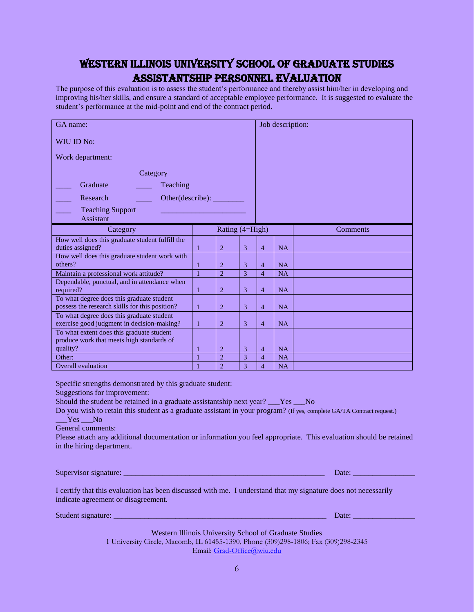## Western Illinois University School of Graduate Studies Assistantship Personnel Evaluation

The purpose of this evaluation is to assess the student's performance and thereby assist him/her in developing and improving his/her skills, and ensure a standard of acceptable employee performance. It is suggested to evaluate the student's performance at the mid-point and end of the contract period.

| GA name:                                                            |        |                        |                | Job description:    |           |                 |
|---------------------------------------------------------------------|--------|------------------------|----------------|---------------------|-----------|-----------------|
| WIU ID No:                                                          |        |                        |                |                     |           |                 |
| Work department:                                                    |        |                        |                |                     |           |                 |
| Category                                                            |        |                        |                |                     |           |                 |
| Graduate<br>Teaching                                                |        |                        |                |                     |           |                 |
| Other(describe):<br>Research                                        |        |                        |                |                     |           |                 |
| <b>Teaching Support</b><br>Assistant                                |        |                        |                |                     |           |                 |
| Category                                                            |        | Rating (4=High)        |                |                     |           | <b>Comments</b> |
| How well does this graduate student fulfill the<br>duties assigned? | 1      | $\overline{2}$         | 3              | $\overline{4}$      | <b>NA</b> |                 |
| How well does this graduate student work with                       |        |                        |                |                     |           |                 |
| others?                                                             | 1      | $\overline{2}$         | 3              | $\overline{4}$      | <b>NA</b> |                 |
| Maintain a professional work attitude?                              | 1      | $\mathcal{D}_{\alpha}$ | $\overline{3}$ | $\overline{4}$      | NA        |                 |
| Dependable, punctual, and in attendance when<br>required?           | 1      | $\overline{2}$         | 3              | $\overline{4}$      | <b>NA</b> |                 |
| To what degree does this graduate student                           |        |                        |                |                     |           |                 |
| possess the research skills for this position?                      | 1      | $\overline{2}$         | 3              | $\overline{4}$      | <b>NA</b> |                 |
| To what degree does this graduate student                           |        |                        |                |                     |           |                 |
| exercise good judgment in decision-making?                          | 1      | $\overline{2}$         | 3              | $\overline{4}$      | <b>NA</b> |                 |
| To what extent does this graduate student                           |        |                        |                |                     |           |                 |
| produce work that meets high standards of<br>quality?               |        | 2                      | 3              |                     | <b>NA</b> |                 |
| Other:                                                              | 1<br>1 | $\overline{2}$         | 3              | 4<br>$\overline{4}$ | <b>NA</b> |                 |
| Overall evaluation                                                  | 1      | $\overline{2}$         | $\overline{3}$ | $\overline{4}$      | <b>NA</b> |                 |
|                                                                     |        |                        |                |                     |           |                 |

Specific strengths demonstrated by this graduate student:

Suggestions for improvement:

Should the student be retained in a graduate assistantship next year? Yes No

Do you wish to retain this student as a graduate assistant in your program? (If yes, complete GA/TA Contract request.)

Yes No

General comments:

Please attach any additional documentation or information you feel appropriate. This evaluation should be retained in the hiring department.

Supervisor signature: \_\_\_\_\_\_\_\_\_\_\_\_\_\_\_\_\_\_\_\_\_\_\_\_\_\_\_\_\_\_\_\_\_\_\_\_\_\_\_\_\_\_\_\_\_\_\_\_\_\_\_\_ Date: \_\_\_\_\_\_\_\_\_\_\_\_\_\_\_\_

I certify that this evaluation has been discussed with me. I understand that my signature does not necessarily indicate agreement or disagreement.

Student signature: \_\_\_\_\_\_\_\_\_\_\_\_\_\_\_\_\_\_\_\_\_\_\_\_\_\_\_\_\_\_\_\_\_\_\_\_\_\_\_\_\_\_\_\_\_\_\_\_\_\_\_\_\_\_\_ Date: \_\_\_\_\_\_\_\_\_\_\_\_\_\_\_\_

Western Illinois University School of Graduate Studies 1 University Circle, Macomb, IL 61455-1390, Phone (309)298-1806; Fax (309)298-2345 Email: [Grad-Office@wiu.edu](mailto:Grad-Office@wiu.edu)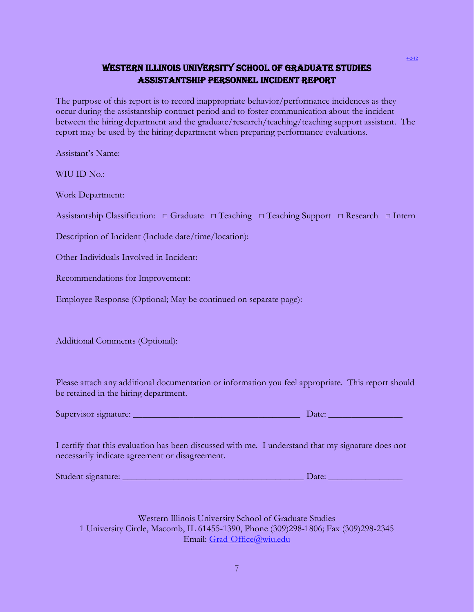## Western Illinois University School of Graduate Studies Assistantship Personnel Incident Report

The purpose of this report is to record inappropriate behavior/performance incidences as they occur during the assistantship contract period and to foster communication about the incident between the hiring department and the graduate/research/teaching/teaching support assistant. The report may be used by the hiring department when preparing performance evaluations.

Assistant's Name:

WIU ID No.:

Work Department:

Assistantship Classification: □ Graduate □ Teaching □ Teaching Support □ Research □ Intern

Description of Incident (Include date/time/location):

Other Individuals Involved in Incident:

Recommendations for Improvement:

Employee Response (Optional; May be continued on separate page):

Additional Comments (Optional):

Please attach any additional documentation or information you feel appropriate. This report should be retained in the hiring department.

| Supervisor signature: |  | Jate: |
|-----------------------|--|-------|
|                       |  |       |

I certify that this evaluation has been discussed with me. I understand that my signature does not necessarily indicate agreement or disagreement.

| Student signature: |
|--------------------|
|                    |

Student signature: \_\_\_\_\_\_\_\_\_\_\_\_\_\_\_\_\_\_\_\_\_\_\_\_\_\_\_\_\_\_\_\_\_\_\_\_\_\_\_ Date: \_\_\_\_\_\_\_\_\_\_\_\_\_\_\_\_

Western Illinois University School of Graduate Studies 1 University Circle, Macomb, IL 61455-1390, Phone (309)298-1806; Fax (309)298-2345 Email: [Grad-Office@wiu.edu](mailto:Grad-Office@wiu.edu)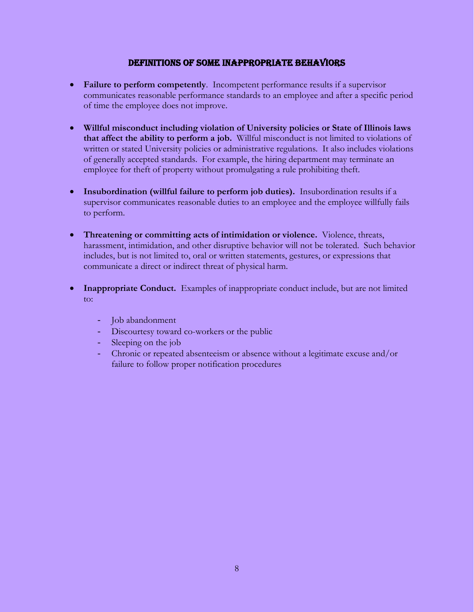#### DEFINITIONS OF SOME INAPPROPRIATE BEHAVIORS

- **Failure to perform competently**. Incompetent performance results if a supervisor communicates reasonable performance standards to an employee and after a specific period of time the employee does not improve.
- **Willful misconduct including violation of University policies or State of Illinois laws that affect the ability to perform a job.** Willful misconduct is not limited to violations of written or stated University policies or administrative regulations. It also includes violations of generally accepted standards. For example, the hiring department may terminate an employee for theft of property without promulgating a rule prohibiting theft.
- **Insubordination (willful failure to perform job duties).** Insubordination results if a supervisor communicates reasonable duties to an employee and the employee willfully fails to perform.
- **Threatening or committing acts of intimidation or violence.** Violence, threats, harassment, intimidation, and other disruptive behavior will not be tolerated. Such behavior includes, but is not limited to, oral or written statements, gestures, or expressions that communicate a direct or indirect threat of physical harm.
- **Inappropriate Conduct.** Examples of inappropriate conduct include, but are not limited to:
	- Job abandonment
	- Discourtesy toward co-workers or the public
	- Sleeping on the job
	- Chronic or repeated absenteeism or absence without a legitimate excuse and/or failure to follow proper notification procedures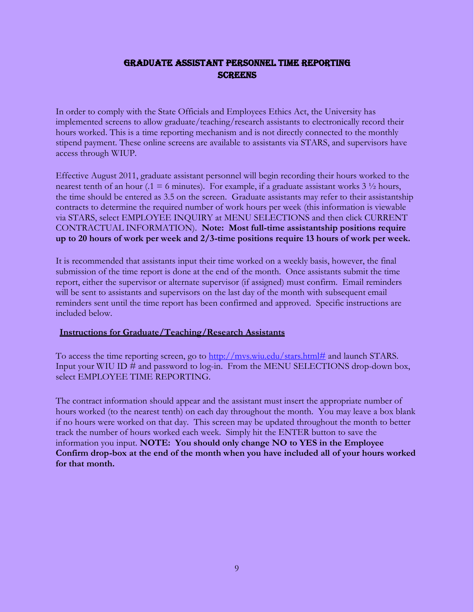## GRADUATE ASSISTANT PERSONNEL TIME REPORTING **SCREENS**

In order to comply with the State Officials and Employees Ethics Act, the University has implemented screens to allow graduate/teaching/research assistants to electronically record their hours worked. This is a time reporting mechanism and is not directly connected to the monthly stipend payment. These online screens are available to assistants via STARS, and supervisors have access through WIUP.

Effective August 2011, graduate assistant personnel will begin recording their hours worked to the nearest tenth of an hour ( $.1 = 6$  minutes). For example, if a graduate assistant works  $3\frac{1}{2}$  hours, the time should be entered as 3.5 on the screen. Graduate assistants may refer to their assistantship contracts to determine the required number of work hours per week (this information is viewable via STARS, select EMPLOYEE INQUIRY at MENU SELECTIONS and then click CURRENT CONTRACTUAL INFORMATION). **Note: Most full-time assistantship positions require up to 20 hours of work per week and 2/3-time positions require 13 hours of work per week.**

It is recommended that assistants input their time worked on a weekly basis, however, the final submission of the time report is done at the end of the month. Once assistants submit the time report, either the supervisor or alternate supervisor (if assigned) must confirm. Email reminders will be sent to assistants and supervisors on the last day of the month with subsequent email reminders sent until the time report has been confirmed and approved. Specific instructions are included below.

#### **Instructions for Graduate/Teaching/Research Assistants**

To access the time reporting screen, go to [http://mvs.wiu.edu/stars.html#](http://mvs.wiu.edu/stars.html) and launch STARS. Input your WIU ID # and password to log-in. From the MENU SELECTIONS drop-down box, select EMPLOYEE TIME REPORTING.

The contract information should appear and the assistant must insert the appropriate number of hours worked (to the nearest tenth) on each day throughout the month. You may leave a box blank if no hours were worked on that day. This screen may be updated throughout the month to better track the number of hours worked each week. Simply hit the ENTER button to save the information you input. **NOTE: You should only change NO to YES in the Employee Confirm drop-box at the end of the month when you have included all of your hours worked for that month.**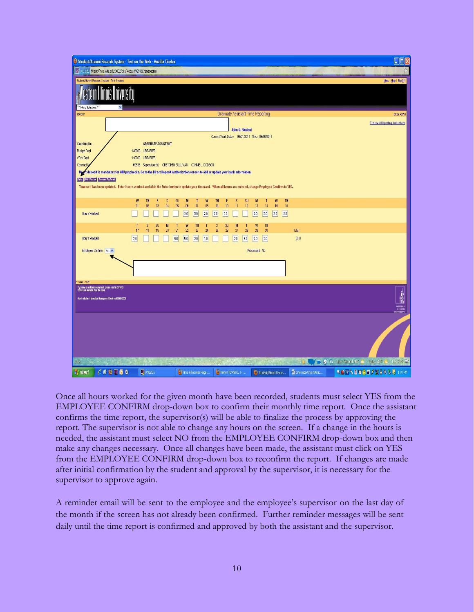| <sup>3</sup> Student/Alumni Records System - Test on the Web - Mozilla Firefox<br>withedulettps://mvs.wiu.edut3002/dcs/webs/HYG946L?angqqomu |                                                                                                                                                               |                                                       |                                       |                                   |                            |                        | $\Box$ D $\times$<br>W                                                     |
|----------------------------------------------------------------------------------------------------------------------------------------------|---------------------------------------------------------------------------------------------------------------------------------------------------------------|-------------------------------------------------------|---------------------------------------|-----------------------------------|----------------------------|------------------------|----------------------------------------------------------------------------|
| Student/Aumni Records System - Test System                                                                                                   |                                                                                                                                                               |                                                       |                                       |                                   |                            |                        | Menu   Help   SignOff                                                      |
| <sup>x x</sup> Menu Selections <sup>11</sup>                                                                                                 |                                                                                                                                                               |                                                       |                                       |                                   |                            |                        |                                                                            |
| 06/13/11                                                                                                                                     |                                                                                                                                                               |                                                       |                                       | Graduate Assistant Time Reporting |                            |                        | 01:07:42 PM                                                                |
|                                                                                                                                              |                                                                                                                                                               |                                                       |                                       | John O. Student                   |                            |                        | <b>Timecard Reporting Instructions</b>                                     |
| Classification                                                                                                                               |                                                                                                                                                               | <b>GRADUATE ASSISTANT</b>                             |                                       |                                   |                            |                        |                                                                            |
| <b>Budget Dept</b>                                                                                                                           | 140000 LIBRARIES                                                                                                                                              |                                                       |                                       |                                   |                            |                        |                                                                            |
| Work Dept                                                                                                                                    | 140000 LIBRARIES                                                                                                                                              |                                                       |                                       |                                   |                            |                        |                                                                            |
| Contract I                                                                                                                                   |                                                                                                                                                               | 69536 Supervisor(s) GRETCHEN SULLIVAN CONNE L. DODSON |                                       |                                   |                            |                        |                                                                            |
|                                                                                                                                              | Diget deposit is mandatory for WIU paychecks. Go to the Direct Deposit Authorization screen to add or update your bank information.                           |                                                       |                                       |                                   |                            |                        |                                                                            |
| Enter Print Provisor Presides Pay Parted                                                                                                     |                                                                                                                                                               |                                                       |                                       |                                   |                            |                        |                                                                            |
|                                                                                                                                              | Timecard has been updated. Enter hours worked and click the Enter button to update your timecard. When all hours are entered, change Employee Confirm to YES. |                                                       |                                       |                                   |                            |                        |                                                                            |
|                                                                                                                                              |                                                                                                                                                               |                                                       |                                       |                                   |                            |                        |                                                                            |
|                                                                                                                                              | W<br><b>TH</b><br>$\theta$ 1                                                                                                                                  | SU<br>M<br>s<br>04<br>05                              | W<br><b>TH</b><br>Т<br>07<br>08<br>09 | F<br>SU<br>s<br>12                | TH<br>W<br>M<br>п<br>13    |                        |                                                                            |
|                                                                                                                                              | 02                                                                                                                                                            | $\omega$<br>06                                        |                                       | 10<br>11                          | 15<br>14<br>16             |                        |                                                                            |
| Hours Worked                                                                                                                                 |                                                                                                                                                               | 2.0                                                   | 5.0<br>2.0<br>2.0                     | 2.0                               | 2.0<br>5.0<br> 2.0 <br>2.0 |                        |                                                                            |
|                                                                                                                                              | F<br>s<br>17<br>18                                                                                                                                            | SU<br>W<br>M<br>T<br>19<br>20<br>21<br>22             | TH<br>s<br>F<br>23<br>25<br>24        | SU<br>M<br>T<br>26<br>27<br>28    | W<br>TH<br>29<br>30        | Total                  |                                                                            |
| <b>Hours Worked</b>                                                                                                                          | 2.0                                                                                                                                                           | 5.0<br>5.0                                            | 1.0<br>2.0                            | 2.0<br>5.0                        | 2.0<br>2.0                 | 50.0                   |                                                                            |
| Employee Confirm No V                                                                                                                        |                                                                                                                                                               |                                                       |                                       |                                   | Processed No.              |                        |                                                                            |
|                                                                                                                                              |                                                                                                                                                               |                                                       |                                       |                                   |                            |                        |                                                                            |
|                                                                                                                                              |                                                                                                                                                               |                                                       |                                       |                                   |                            |                        |                                                                            |
|                                                                                                                                              |                                                                                                                                                               |                                                       |                                       |                                   |                            |                        |                                                                            |
| HYGNAL-TIME                                                                                                                                  |                                                                                                                                                               |                                                       |                                       |                                   |                            |                        |                                                                            |
| hype have questions or comments, please use the STARS.<br>Comments available from the ment.                                                  |                                                                                                                                                               |                                                       |                                       |                                   |                            |                        |                                                                            |
|                                                                                                                                              |                                                                                                                                                               |                                                       |                                       |                                   |                            |                        | $\frac{1}{\Omega}$                                                         |
| Administrative information Management Systems (22006-2008)                                                                                   |                                                                                                                                                               |                                                       |                                       |                                   |                            |                        |                                                                            |
|                                                                                                                                              |                                                                                                                                                               |                                                       |                                       |                                   |                            |                        | WESTERN<br>  LLINOIS<br>  VERSITY                                          |
|                                                                                                                                              |                                                                                                                                                               |                                                       |                                       |                                   |                            |                        |                                                                            |
|                                                                                                                                              |                                                                                                                                                               |                                                       |                                       |                                   |                            |                        |                                                                            |
|                                                                                                                                              |                                                                                                                                                               |                                                       |                                       |                                   |                            |                        |                                                                            |
| Done                                                                                                                                         |                                                                                                                                                               |                                                       |                                       |                                   |                            |                        | The Country of the Mow Pair and 74°F<br>Today: 75°F<br><b>Tue 75°F 25°</b> |
| $C$ CUDO Q<br><b>i</b> start                                                                                                                 | WILZOS                                                                                                                                                        |                                                       | U Tim's All Access Page               | <b>D</b> News (TCW901L) -         | Student/Alumni Recor       | time reporting instruc | ● 2 四、目り◎目ク翼をのる場 1:07PM                                                    |

Once all hours worked for the given month have been recorded, students must select YES from the EMPLOYEE CONFIRM drop-down box to confirm their monthly time report. Once the assistant confirms the time report, the supervisor(s) will be able to finalize the process by approving the report. The supervisor is not able to change any hours on the screen. If a change in the hours is needed, the assistant must select NO from the EMPLOYEE CONFIRM drop-down box and then make any changes necessary. Once all changes have been made, the assistant must click on YES from the EMPLOYEE CONFIRM drop-down box to reconfirm the report. If changes are made after initial confirmation by the student and approval by the supervisor, it is necessary for the supervisor to approve again.

A reminder email will be sent to the employee and the employee's supervisor on the last day of the month if the screen has not already been confirmed. Further reminder messages will be sent daily until the time report is confirmed and approved by both the assistant and the supervisor.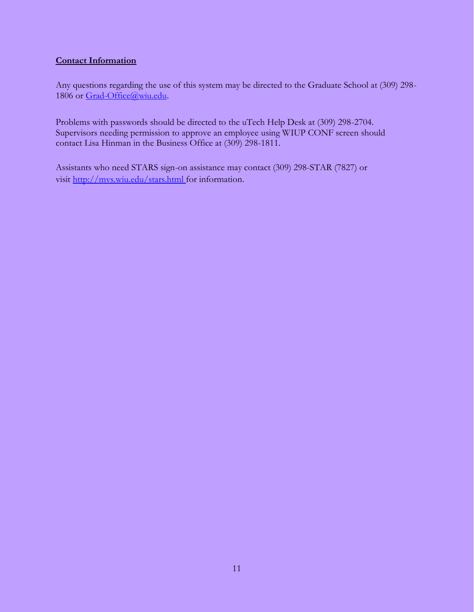### **Contact Information**

Any questions regarding the use of this system may be directed to the Graduate School at (309) 298- 1806 or [Grad-Office@wiu.edu.](mailto:Grad-Office@wiu.edu)

Problems with passwords should be directed to the uTech Help Desk at (309) 298-2704. Supervisors needing permission to approve an employee using WIUP CONF screen should contact Lisa Hinman in the Business Office at (309) 298-1811.

Assistants who need STARS sign-on assistance may contact (309) 298-STAR (7827) or visit [http://mvs.wiu.edu/stars.html f](http://mvs.wiu.edu/stars.html)or information.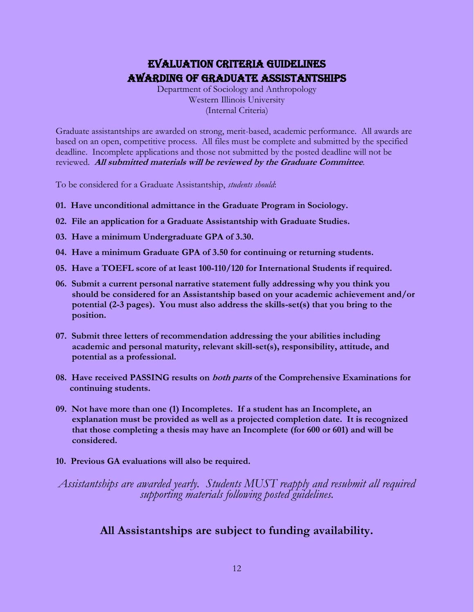## Evaluation Criteria Guidelines Awarding of Graduate Assistantships

Department of Sociology and Anthropology Western Illinois University (Internal Criteria)

Graduate assistantships are awarded on strong, merit-based, academic performance. All awards are based on an open, competitive process. All files must be complete and submitted by the specified deadline. Incomplete applications and those not submitted by the posted deadline will not be reviewed. **All submitted materials will be reviewed by the Graduate Committee**.

To be considered for a Graduate Assistantship, *students should*:

- **01. Have unconditional admittance in the Graduate Program in Sociology.**
- **02. File an application for a Graduate Assistantship with Graduate Studies.**
- **03. Have a minimum Undergraduate GPA of 3.30.**
- **04. Have a minimum Graduate GPA of 3.50 for continuing or returning students.**
- **05. Have a TOEFL score of at least 100-110/120 for International Students if required.**
- **06. Submit a current personal narrative statement fully addressing why you think you should be considered for an Assistantship based on your academic achievement and/or potential (2-3 pages). You must also address the skills-set(s) that you bring to the position.**
- **07. Submit three letters of recommendation addressing the your abilities including academic and personal maturity, relevant skill-set(s), responsibility, attitude, and potential as a professional.**
- **08. Have received PASSING results on both parts of the Comprehensive Examinations for continuing students.**
- **09. Not have more than one (1) Incompletes. If a student has an Incomplete, an explanation must be provided as well as a projected completion date. It is recognized that those completing a thesis may have an Incomplete (for 600 or 601) and will be considered.**
- **10. Previous GA evaluations will also be required.**

*Assistantships are awarded yearly. Students MUST reapply and resubmit all required supporting materials following posted guidelines.*

## **All Assistantships are subject to funding availability.**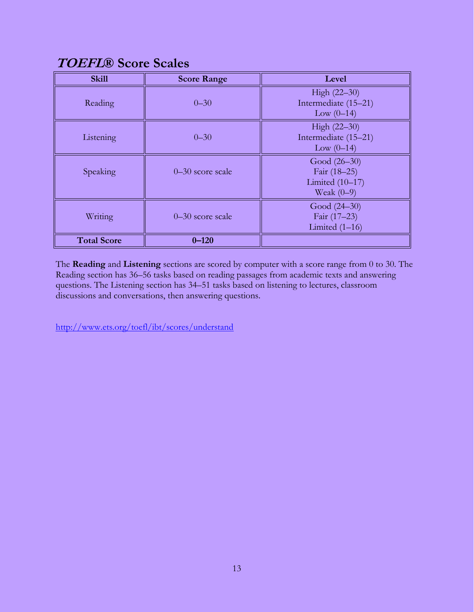# **TOEFL® Score Scales**

| <b>Skill</b>       | <b>Score Range</b>   | Level                |
|--------------------|----------------------|----------------------|
|                    |                      | High (22–30)         |
| Reading            | $0 - 30$             | Intermediate (15-21) |
|                    |                      | Low $(0-14)$         |
|                    |                      | High (22-30)         |
| Listening          | $0 - 30$             | Intermediate (15-21) |
|                    |                      | Low $(0-14)$         |
|                    |                      | Good $(26-30)$       |
| Speaking           | $0-30$ score scale   | Fair (18-25)         |
|                    |                      | Limited $(10-17)$    |
|                    |                      | Weak $(0-9)$         |
|                    |                      | Good (24–30)         |
| Writing            | $0 - 30$ score scale | Fair (17-23)         |
|                    |                      | Limited $(1-16)$     |
| <b>Total Score</b> | $0 - 120$            |                      |

The **Reading** and **Listening** sections are scored by computer with a score range from 0 to 30. The Reading section has 36–56 tasks based on reading passages from academic texts and answering questions. The Listening section has 34–51 tasks based on listening to lectures, classroom discussions and conversations, then answering questions.

<http://www.ets.org/toefl/ibt/scores/understand>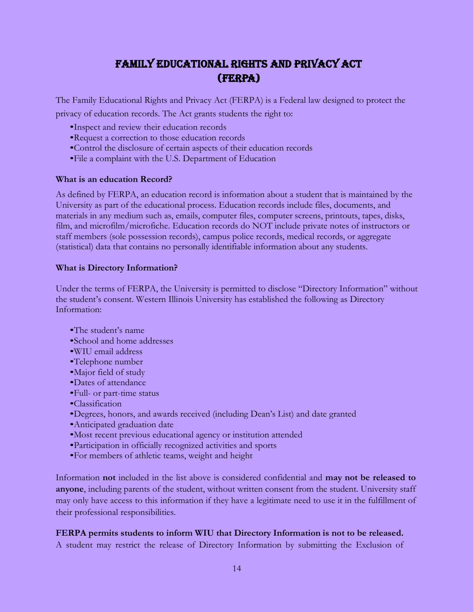## Family Educational Rights and Privacy Act (FERPA)

The Family Educational Rights and Privacy Act (FERPA) is a Federal law designed to protect the privacy of education records. The Act grants students the right to:

- •Inspect and review their education records
- •Request a correction to those education records
- •Control the disclosure of certain aspects of their education records
- •File a complaint with the U.S. Department of Education

#### **What is an education Record?**

As defined by FERPA, an education record is information about a student that is maintained by the University as part of the educational process. Education records include files, documents, and materials in any medium such as, emails, computer files, computer screens, printouts, tapes, disks, film, and microfilm/microfiche. Education records do NOT include private notes of instructors or staff members (sole possession records), campus police records, medical records, or aggregate (statistical) data that contains no personally identifiable information about any students.

#### **What is Directory Information?**

Under the terms of FERPA, the University is permitted to disclose "Directory Information" without the student's consent. Western Illinois University has established the following as Directory Information:

- •The student's name
- •School and home addresses
- •WIU email address
- •Telephone number
- •Major field of study
- •Dates of attendance
- •Full- or part-time status
- •Classification
- •Degrees, honors, and awards received (including Dean's List) and date granted
- •Anticipated graduation date
- •Most recent previous educational agency or institution attended
- •Participation in officially recognized activities and sports
- •For members of athletic teams, weight and height

Information **not** included in the list above is considered confidential and **may not be released to anyone**, including parents of the student, without written consent from the student. University staff may only have access to this information if they have a legitimate need to use it in the fulfillment of their professional responsibilities.

#### **FERPA permits students to inform WIU that Directory Information is not to be released.**

A student may restrict the release of Directory Information by submitting the Exclusion of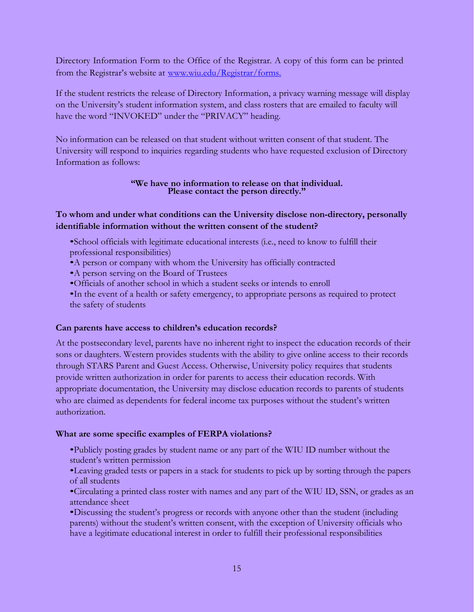Directory Information Form to the Office of the Registrar. A copy of this form can be printed from the Registrar's website at [www.wiu.edu/Registrar/forms.](http://www.wiu.edu/Registrar/forms.)

If the student restricts the release of Directory Information, a privacy warning message will display on the University's student information system, and class rosters that are emailed to faculty will have the word "INVOKED" under the "PRIVACY" heading.

No information can be released on that student without written consent of that student. The University will respond to inquiries regarding students who have requested exclusion of Directory Information as follows:

#### **"We have no information to release on that individual. Please contact the person directly."**

### **To whom and under what conditions can the University disclose non-directory, personally identifiable information without the written consent of the student?**

- •School officials with legitimate educational interests (i.e., need to know to fulfill their professional responsibilities)
- •A person or company with whom the University has officially contracted
- •A person serving on the Board of Trustees
- •Officials of another school in which a student seeks or intends to enroll
- •In the event of a health or safety emergency, to appropriate persons as required to protect the safety of students

#### **Can parents have access to children's education records?**

At the postsecondary level, parents have no inherent right to inspect the education records of their sons or daughters. Western provides students with the ability to give online access to their records through STARS Parent and Guest Access. Otherwise, University policy requires that students provide written authorization in order for parents to access their education records. With appropriate documentation, the University may disclose education records to parents of students who are claimed as dependents for federal income tax purposes without the student's written authorization.

#### **What are some specific examples of FERPA violations?**

- •Publicly posting grades by student name or any part of the WIU ID number without the student's written permission
- •Leaving graded tests or papers in a stack for students to pick up by sorting through the papers of all students
- •Circulating a printed class roster with names and any part of the WIU ID, SSN, or grades as an attendance sheet

•Discussing the student's progress or records with anyone other than the student (including parents) without the student's written consent, with the exception of University officials who have a legitimate educational interest in order to fulfill their professional responsibilities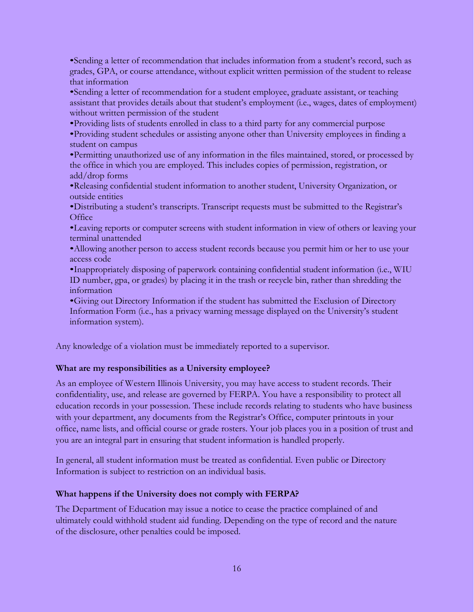•Sending a letter of recommendation that includes information from a student's record, such as grades, GPA, or course attendance, without explicit written permission of the student to release that information

•Sending a letter of recommendation for a student employee, graduate assistant, or teaching assistant that provides details about that student's employment (i.e., wages, dates of employment) without written permission of the student

•Providing lists of students enrolled in class to a third party for any commercial purpose

•Providing student schedules or assisting anyone other than University employees in finding a student on campus

•Permitting unauthorized use of any information in the files maintained, stored, or processed by the office in which you are employed. This includes copies of permission, registration, or add/drop forms

•Releasing confidential student information to another student, University Organization, or outside entities

•Distributing a student's transcripts. Transcript requests must be submitted to the Registrar's **Office** 

•Leaving reports or computer screens with student information in view of others or leaving your terminal unattended

•Allowing another person to access student records because you permit him or her to use your access code

•Inappropriately disposing of paperwork containing confidential student information (i.e., WIU ID number, gpa, or grades) by placing it in the trash or recycle bin, rather than shredding the information

•Giving out Directory Information if the student has submitted the Exclusion of Directory Information Form (i.e., has a privacy warning message displayed on the University's student information system).

Any knowledge of a violation must be immediately reported to a supervisor.

#### **What are my responsibilities as a University employee?**

As an employee of Western Illinois University, you may have access to student records. Their confidentiality, use, and release are governed by FERPA. You have a responsibility to protect all education records in your possession. These include records relating to students who have business with your department, any documents from the Registrar's Office, computer printouts in your office, name lists, and official course or grade rosters. Your job places you in a position of trust and you are an integral part in ensuring that student information is handled properly.

In general, all student information must be treated as confidential. Even public or Directory Information is subject to restriction on an individual basis.

#### **What happens if the University does not comply with FERPA?**

The Department of Education may issue a notice to cease the practice complained of and ultimately could withhold student aid funding. Depending on the type of record and the nature of the disclosure, other penalties could be imposed.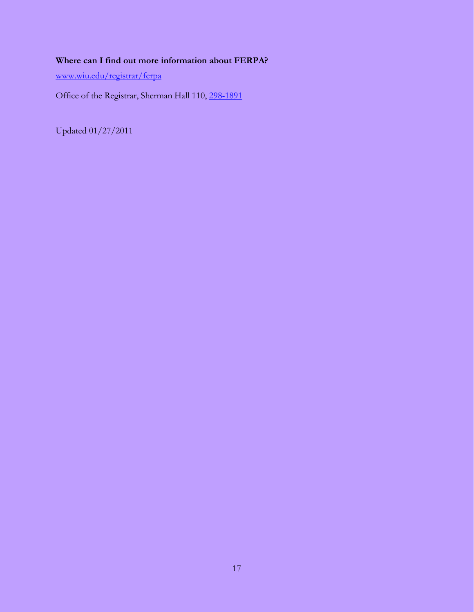## **Where can I find out more information about FERPA?**

[www.wiu.edu/registrar/ferpa](http://www.wiu.edu/registrar/ferpa)

Office of the Registrar, Sherman Hall 110, 298-1891

Updated 01/27/2011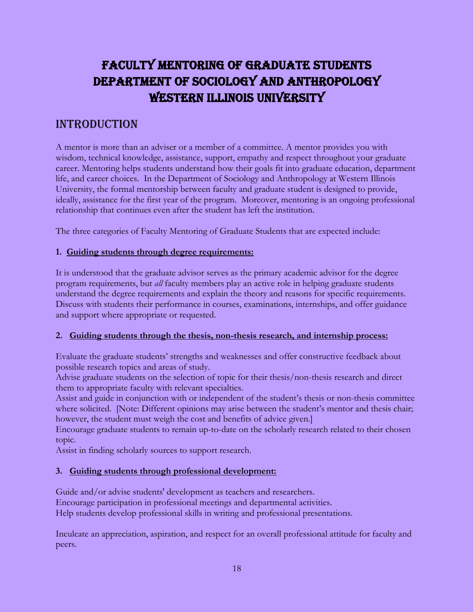# Faculty Mentoring of Graduate Students Department of Sociology and Anthropology WESTERN ILLINOIS UNIVERSITY

## **INTRODUCTION**

A mentor is more than an adviser or a member of a committee. A mentor provides you with wisdom, technical knowledge, assistance, support, empathy and respect throughout your graduate career. Mentoring helps students understand how their goals fit into graduate education, department life, and career choices. In the Department of Sociology and Anthropology at Western Illinois University, the formal mentorship between faculty and graduate student is designed to provide, ideally, assistance for the first year of the program. Moreover, mentoring is an ongoing professional relationship that continues even after the student has left the institution.

The three categories of Faculty Mentoring of Graduate Students that are expected include:

### **1. Guiding students through degree requirements:**

It is understood that the graduate advisor serves as the primary academic advisor for the degree program requirements, but *all* faculty members play an active role in helping graduate students understand the degree requirements and explain the theory and reasons for specific requirements. Discuss with students their performance in courses, examinations, internships, and offer guidance and support where appropriate or requested.

#### **2. Guiding students through the thesis, non-thesis research, and internship process:**

Evaluate the graduate students' strengths and weaknesses and offer constructive feedback about possible research topics and areas of study.

Advise graduate students on the selection of topic for their thesis/non-thesis research and direct them to appropriate faculty with relevant specialties.

Assist and guide in conjunction with or independent of the student's thesis or non-thesis committee where solicited. [Note: Different opinions may arise between the student's mentor and thesis chair; however, the student must weigh the cost and benefits of advice given.]

Encourage graduate students to remain up-to-date on the scholarly research related to their chosen topic.

Assist in finding scholarly sources to support research.

### **3. Guiding students through professional development:**

Guide and/or advise students' development as teachers and researchers.

Encourage participation in professional meetings and departmental activities.

Help students develop professional skills in writing and professional presentations.

Inculcate an appreciation, aspiration, and respect for an overall professional attitude for faculty and peers.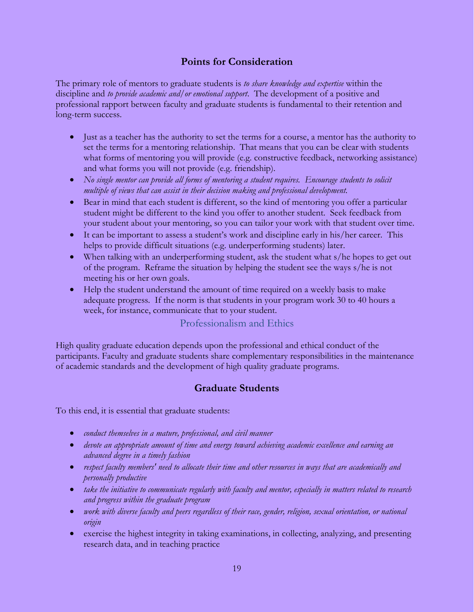## **Points for Consideration**

The primary role of mentors to graduate students is *to share knowledge and expertise* within the discipline and *to provide academic and/or emotional support*. The development of a positive and professional rapport between faculty and graduate students is fundamental to their retention and long-term success.

- Just as a teacher has the authority to set the terms for a course, a mentor has the authority to set the terms for a mentoring relationship. That means that you can be clear with students what forms of mentoring you will provide (e.g. constructive feedback, networking assistance) and what forms you will not provide (e.g. friendship).
- *No single mentor can provide all forms of mentoring a student requires. Encourage students to solicit multiple of views that can assist in their decision making and professional development.*
- Bear in mind that each student is different, so the kind of mentoring you offer a particular student might be different to the kind you offer to another student. Seek feedback from your student about your mentoring, so you can tailor your work with that student over time.
- It can be important to assess a student's work and discipline early in his/her career. This helps to provide difficult situations (e.g. underperforming students) later.
- When talking with an underperforming student, ask the student what s/he hopes to get out of the program. Reframe the situation by helping the student see the ways s/he is not meeting his or her own goals.
- Help the student understand the amount of time required on a weekly basis to make adequate progress. If the norm is that students in your program work 30 to 40 hours a week, for instance, communicate that to your student.

### Professionalism and Ethics

High quality graduate education depends upon the professional and ethical conduct of the participants. Faculty and graduate students share complementary responsibilities in the maintenance of academic standards and the development of high quality graduate programs.

## **Graduate Students**

To this end, it is essential that graduate students:

- *conduct themselves in a mature, professional, and civil manner*
- *devote an appropriate amount of time and energy toward achieving academic excellence and earning an advanced degree in a timely fashion*
- *respect faculty members' need to allocate their time and other resources in ways that are academically and personally productive*
- *take the initiative to communicate regularly with faculty and mentor, especially in matters related to research and progress within the graduate program*
- *work with diverse faculty and peers regardless of their race, gender, religion, sexual orientation, or national origin*
- exercise the highest integrity in taking examinations, in collecting, analyzing, and presenting research data, and in teaching practice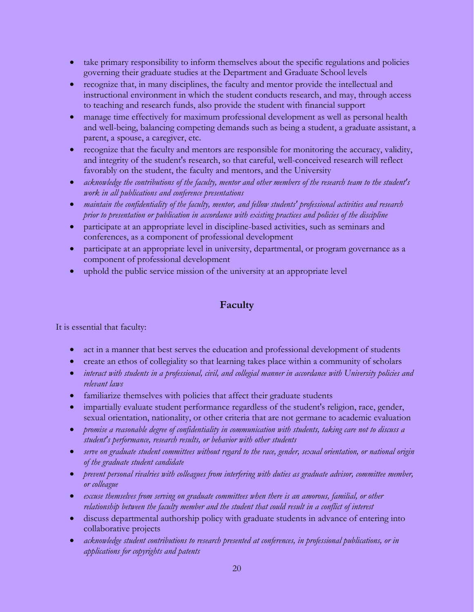- take primary responsibility to inform themselves about the specific regulations and policies governing their graduate studies at the Department and Graduate School levels
- recognize that, in many disciplines, the faculty and mentor provide the intellectual and instructional environment in which the student conducts research, and may, through access to teaching and research funds, also provide the student with financial support
- manage time effectively for maximum professional development as well as personal health and well-being, balancing competing demands such as being a student, a graduate assistant, a parent, a spouse, a caregiver, etc.
- recognize that the faculty and mentors are responsible for monitoring the accuracy, validity, and integrity of the student's research, so that careful, well-conceived research will reflect favorably on the student, the faculty and mentors, and the University
- *acknowledge the contributions of the faculty, mentor and other members of the research team to the student's work in all publications and conference presentations*
- *maintain the confidentiality of the faculty, mentor, and fellow students' professional activities and research prior to presentation or publication in accordance with existing practices and policies of the discipline*
- participate at an appropriate level in discipline-based activities, such as seminars and conferences, as a component of professional development
- participate at an appropriate level in university, departmental, or program governance as a component of professional development
- uphold the public service mission of the university at an appropriate level

## **Faculty**

It is essential that faculty:

- act in a manner that best serves the education and professional development of students
- create an ethos of collegiality so that learning takes place within a community of scholars
- *interact with students in a professional, civil, and collegial manner in accordance with University policies and relevant laws*
- familiarize themselves with policies that affect their graduate students
- impartially evaluate student performance regardless of the student's religion, race, gender, sexual orientation, nationality, or other criteria that are not germane to academic evaluation
- *promise a reasonable degree of confidentiality in communication with students, taking care not to discuss a student's performance, research results, or behavior with other students*
- *serve on graduate student committees without regard to the race, gender, sexual orientation, or national origin of the graduate student candidate*
- *prevent personal rivalries with colleagues from interfering with duties as graduate advisor, committee member, or colleague*
- *excuse themselves from serving on graduate committees when there is an amorous, familial, or other relationship between the faculty member and the student that could result in a conflict of interest*
- discuss departmental authorship policy with graduate students in advance of entering into collaborative projects
- *acknowledge student contributions to research presented at conferences, in professional publications, or in applications for copyrights and patents*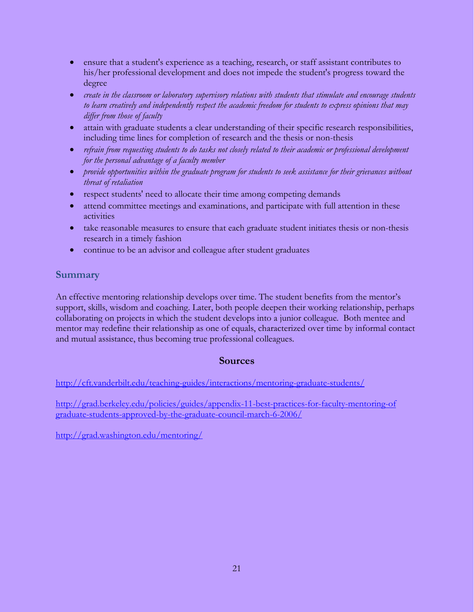- ensure that a student's experience as a teaching, research, or staff assistant contributes to his/her professional development and does not impede the student's progress toward the degree
- *create in the classroom or laboratory supervisory relations with students that stimulate and encourage students to learn creatively and independently respect the academic freedom for students to express opinions that may differ from those of faculty*
- attain with graduate students a clear understanding of their specific research responsibilities, including time lines for completion of research and the thesis or non-thesis
- *refrain from requesting students to do tasks not closely related to their academic or professional development for the personal advantage of a faculty member*
- *provide opportunities within the graduate program for students to seek assistance for their grievances without threat of retaliation*
- respect students' need to allocate their time among competing demands
- attend committee meetings and examinations, and participate with full attention in these activities
- take reasonable measures to ensure that each graduate student initiates thesis or non-thesis research in a timely fashion
- continue to be an advisor and colleague after student graduates

## **Summary**

An effective mentoring relationship develops over time. The student benefits from the mentor's support, skills, wisdom and coaching. Later, both people deepen their working relationship, perhaps collaborating on projects in which the student develops into a junior colleague. Both mentee and mentor may redefine their relationship as one of equals, characterized over time by informal contact and mutual assistance, thus becoming true professional colleagues.

## **Sources**

<http://cft.vanderbilt.edu/teaching-guides/interactions/mentoring-graduate-students/>

[http://grad.berkeley.edu/policies/guides/appendix-11-best-practices-for-faculty-mentoring-of](http://grad.berkeley.edu/policies/guides/appendix-11-best-practices-for-faculty-mentoring-of%20graduate-students-approved-by-the-graduate-council-march-6-2006/)  [graduate-students-approved-by-the-graduate-council-march-6-2006/](http://grad.berkeley.edu/policies/guides/appendix-11-best-practices-for-faculty-mentoring-of%20graduate-students-approved-by-the-graduate-council-march-6-2006/)

<http://grad.washington.edu/mentoring/>